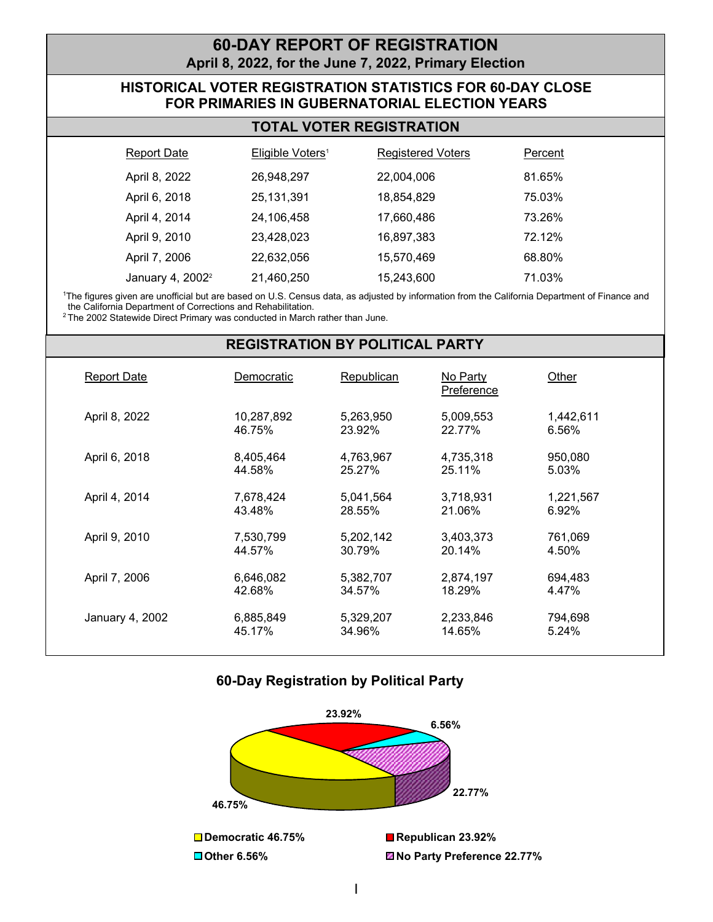## **60-DAY REPORT OF REGISTRATION April 8, 2022, for the June 7, 2022, Primary Election**

## **HISTORICAL VOTER REGISTRATION STATISTICS FOR 60-DAY CLOSE FOR PRIMARIES IN GUBERNATORIAL ELECTION YEARS**

| <b>Report Date</b>           | Eligible Voters <sup>1</sup> | <b>Registered Voters</b> | Percent |
|------------------------------|------------------------------|--------------------------|---------|
| April 8, 2022                | 26,948,297                   | 22,004,006               | 81.65%  |
| April 6, 2018                | 25,131,391                   | 18,854,829               | 75.03%  |
| April 4, 2014                | 24,106,458                   | 17,660,486               | 73.26%  |
| April 9, 2010                | 23,428,023                   | 16,897,383               | 72.12%  |
| April 7, 2006                | 22,632,056                   | 15,570,469               | 68.80%  |
| January 4, 2002 <sup>2</sup> | 21,460,250                   | 15,243,600               | 71.03%  |

1 The figures given are unofficial but are based on U.S. Census data, as adjusted by information from the California Department of Finance and the California Department of Corrections and Rehabilitation.

<sup>2</sup> The 2002 Statewide Direct Primary was conducted in March rather than June.

#### **REGISTRATION BY POLITICAL PARTY**

| <b>Report Date</b> | Democratic           | Republican          | No Party<br>Preference | Other              |  |
|--------------------|----------------------|---------------------|------------------------|--------------------|--|
| April 8, 2022      | 10,287,892<br>46.75% | 5,263,950<br>23.92% | 5,009,553<br>22.77%    | 1,442,611<br>6.56% |  |
| April 6, 2018      | 8,405,464<br>44.58%  | 4,763,967<br>25.27% | 4,735,318<br>25.11%    | 950,080<br>5.03%   |  |
| April 4, 2014      | 7,678,424<br>43.48%  | 5,041,564<br>28.55% | 3,718,931<br>21.06%    | 1,221,567<br>6.92% |  |
| April 9, 2010      | 7,530,799<br>44.57%  | 5,202,142<br>30.79% | 3,403,373<br>20.14%    | 761,069<br>4.50%   |  |
| April 7, 2006      | 6,646,082<br>42.68%  | 5,382,707<br>34.57% | 2,874,197<br>18.29%    | 694.483<br>4.47%   |  |
| January 4, 2002    | 6,885,849<br>45.17%  | 5,329,207<br>34.96% | 2,233,846<br>14.65%    | 794,698<br>5.24%   |  |

### **60-Day Registration by Political Party**

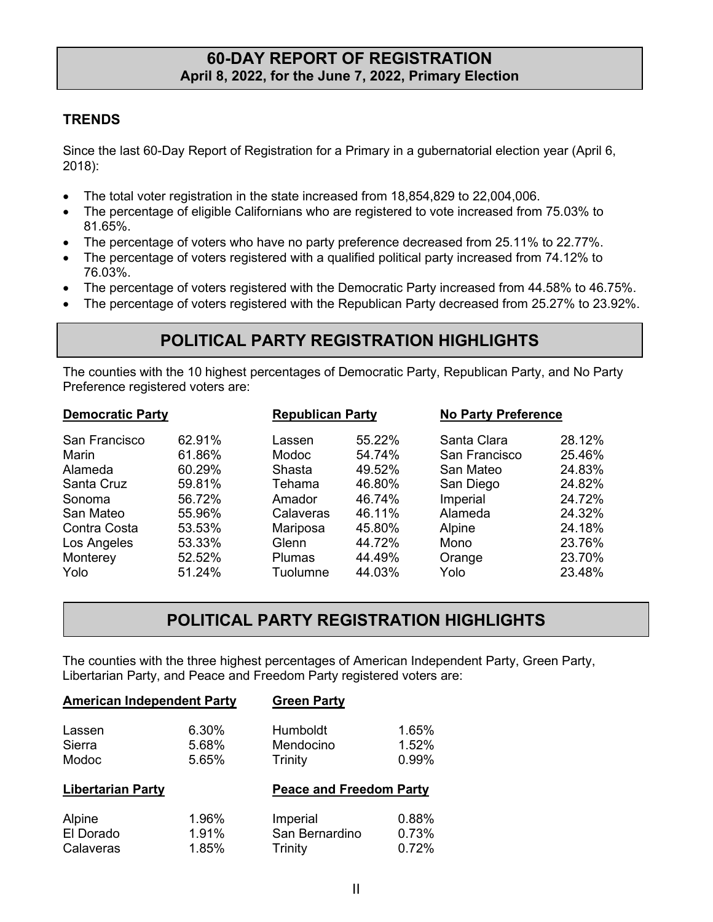## **60-DAY REPORT OF REGISTRATION April 8, 2022, for the June 7, 2022, Primary Election**

## **TRENDS**

Since the last 60-Day Report of Registration for a Primary in a gubernatorial election year (April 6, 2018):

- The total voter registration in the state increased from 18,854,829 to 22,004,006.
- The percentage of eligible Californians who are registered to vote increased from 75.03% to 81.65%.
- The percentage of voters who have no party preference decreased from 25.11% to 22.77%.
- The percentage of voters registered with a qualified political party increased from 74.12% to 76.03%.
- The percentage of voters registered with the Democratic Party increased from 44.58% to 46.75%.
- The percentage of voters registered with the Republican Party decreased from 25.27% to 23.92%.

# **POLITICAL PARTY REGISTRATION HIGHLIGHTS**

The counties with the 10 highest percentages of Democratic Party, Republican Party, and No Party Preference registered voters are:

| <b>Democratic Party</b> |        | <b>Republican Party</b> |        |               | <b>No Party Preference</b> |  |
|-------------------------|--------|-------------------------|--------|---------------|----------------------------|--|
| San Francisco           | 62.91% | Lassen                  | 55.22% | Santa Clara   | 28.12%                     |  |
| Marin                   | 61.86% | <b>Modoc</b>            | 54.74% | San Francisco | 25.46%                     |  |
| Alameda                 | 60.29% | Shasta                  | 49.52% | San Mateo     | 24.83%                     |  |
| Santa Cruz              | 59.81% | Tehama                  | 46.80% | San Diego     | 24.82%                     |  |
| Sonoma                  | 56.72% | Amador                  | 46.74% | Imperial      | 24.72%                     |  |
| San Mateo               | 55.96% | Calaveras               | 46.11% | Alameda       | 24.32%                     |  |
| Contra Costa            | 53.53% | Mariposa                | 45.80% | Alpine        | 24.18%                     |  |
| Los Angeles             | 53.33% | Glenn                   | 44.72% | Mono          | 23.76%                     |  |
| Monterey                | 52.52% | <b>Plumas</b>           | 44.49% | Orange        | 23.70%                     |  |
| Yolo                    | 51.24% | Tuolumne                | 44.03% | Yolo          | 23.48%                     |  |

# **POLITICAL PARTY REGISTRATION HIGHLIGHTS**

The counties with the three highest percentages of American Independent Party, Green Party, Libertarian Party, and Peace and Freedom Party registered voters are:

| <b>American Independent Party</b> |                         | <b>Green Party</b>               |                         |
|-----------------------------------|-------------------------|----------------------------------|-------------------------|
| Lassen<br>Sierra<br>Modoc         | 6.30%<br>5.68%<br>5.65% | Humboldt<br>Mendocino<br>Trinity | 1.65%<br>1.52%<br>0.99% |
| <b>Libertarian Party</b>          |                         | <b>Peace and Freedom Party</b>   |                         |
|                                   |                         |                                  |                         |